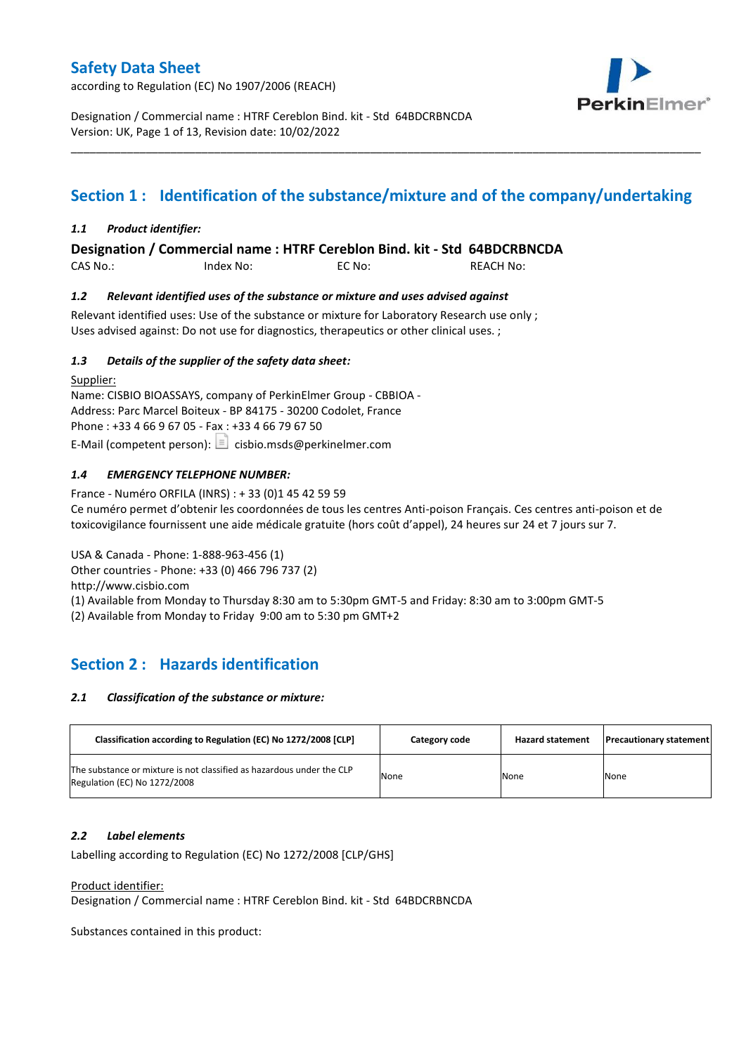according to Regulation (EC) No 1907/2006 (REACH)



Designation / Commercial name : HTRF Cereblon Bind. kit - Std 64BDCRBNCDA Version: UK, Page 1 of 13, Revision date: 10/02/2022

# **Section 1 : Identification of the substance/mixture and of the company/undertaking**

\_\_\_\_\_\_\_\_\_\_\_\_\_\_\_\_\_\_\_\_\_\_\_\_\_\_\_\_\_\_\_\_\_\_\_\_\_\_\_\_\_\_\_\_\_\_\_\_\_\_\_\_\_\_\_\_\_\_\_\_\_\_\_\_\_\_\_\_\_\_\_\_\_\_\_\_\_\_\_\_\_\_\_\_\_\_\_\_\_\_\_\_\_\_\_\_\_\_\_\_\_

#### *1.1 Product identifier:*

**Designation / Commercial name : HTRF Cereblon Bind. kit - Std 64BDCRBNCDA** 

CAS No.: Index No: EC No: REACH No:

#### *1.2 Relevant identified uses of the substance or mixture and uses advised against*

Relevant identified uses: Use of the substance or mixture for Laboratory Research use only ; Uses advised against: Do not use for diagnostics, therapeutics or other clinical uses. ;

#### *1.3 Details of the supplier of the safety data sheet:*

Supplier: Name: CISBIO BIOASSAYS, company of PerkinElmer Group - CBBIOA - Address: Parc Marcel Boiteux - BP 84175 - 30200 Codolet, France Phone : +33 4 66 9 67 05 - Fax : +33 4 66 79 67 50 E-Mail (competent person):  $\Box$  cisbio.msds@perkinelmer.com

### *1.4 EMERGENCY TELEPHONE NUMBER:*

France - Numéro ORFILA (INRS) : + 33 (0)1 45 42 59 59 Ce numéro permet d'obtenir les coordonnées de tous les centres Anti-poison Français. Ces centres anti-poison et de toxicovigilance fournissent une aide médicale gratuite (hors coût d'appel), 24 heures sur 24 et 7 jours sur 7.

USA & Canada - Phone: 1-888-963-456 (1) Other countries - Phone: +33 (0) 466 796 737 (2)

http://www.cisbio.com

(1) Available from Monday to Thursday 8:30 am to 5:30pm GMT-5 and Friday: 8:30 am to 3:00pm GMT-5

(2) Available from Monday to Friday 9:00 am to 5:30 pm GMT+2

# **Section 2 : Hazards identification**

#### *2.1 Classification of the substance or mixture:*

| Classification according to Regulation (EC) No 1272/2008 [CLP]                                        | Category code | <b>Hazard statement</b> | <b>Precautionary statement</b> |
|-------------------------------------------------------------------------------------------------------|---------------|-------------------------|--------------------------------|
| The substance or mixture is not classified as hazardous under the CLP<br>Regulation (EC) No 1272/2008 | None          | None                    | None                           |

#### *2.2 Label elements*

Labelling according to Regulation (EC) No 1272/2008 [CLP/GHS]

#### Product identifier:

Designation / Commercial name : HTRF Cereblon Bind. kit - Std 64BDCRBNCDA

Substances contained in this product: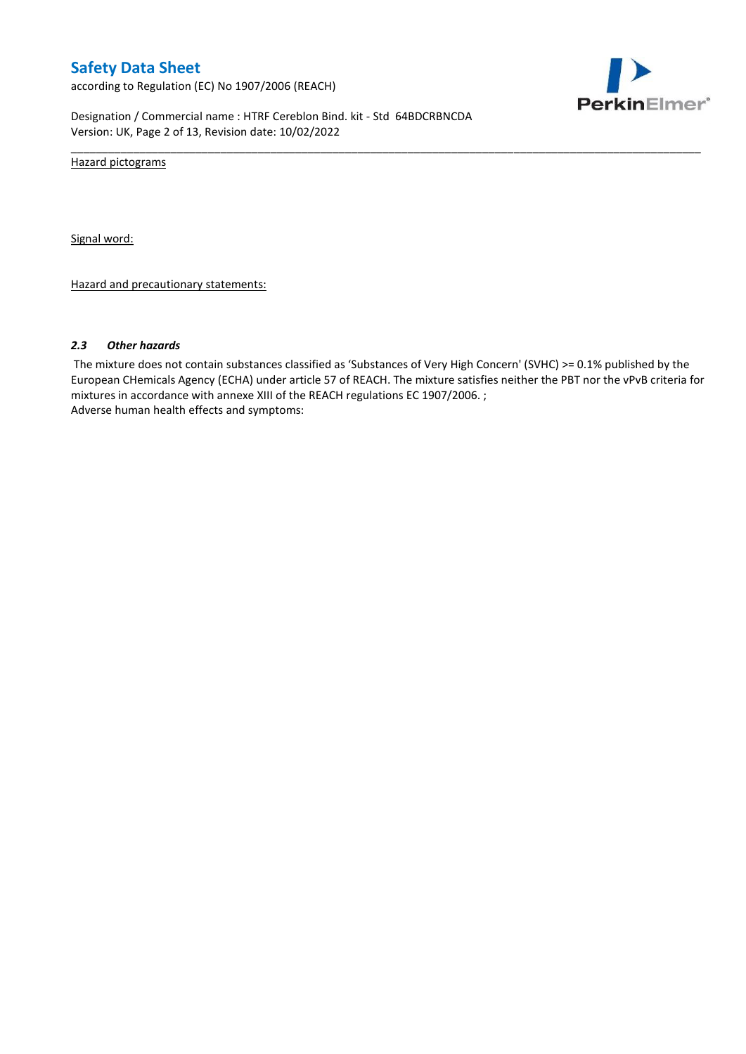according to Regulation (EC) No 1907/2006 (REACH)



Designation / Commercial name : HTRF Cereblon Bind. kit - Std 64BDCRBNCDA Version: UK, Page 2 of 13, Revision date: 10/02/2022

Hazard pictograms

Signal word:

Hazard and precautionary statements:

#### *2.3 Other hazards*

The mixture does not contain substances classified as 'Substances of Very High Concern' (SVHC) >= 0.1% published by the European CHemicals Agency (ECHA) under article 57 of REACH. The mixture satisfies neither the PBT nor the vPvB criteria for mixtures in accordance with annexe XIII of the REACH regulations EC 1907/2006. ; Adverse human health effects and symptoms:

\_\_\_\_\_\_\_\_\_\_\_\_\_\_\_\_\_\_\_\_\_\_\_\_\_\_\_\_\_\_\_\_\_\_\_\_\_\_\_\_\_\_\_\_\_\_\_\_\_\_\_\_\_\_\_\_\_\_\_\_\_\_\_\_\_\_\_\_\_\_\_\_\_\_\_\_\_\_\_\_\_\_\_\_\_\_\_\_\_\_\_\_\_\_\_\_\_\_\_\_\_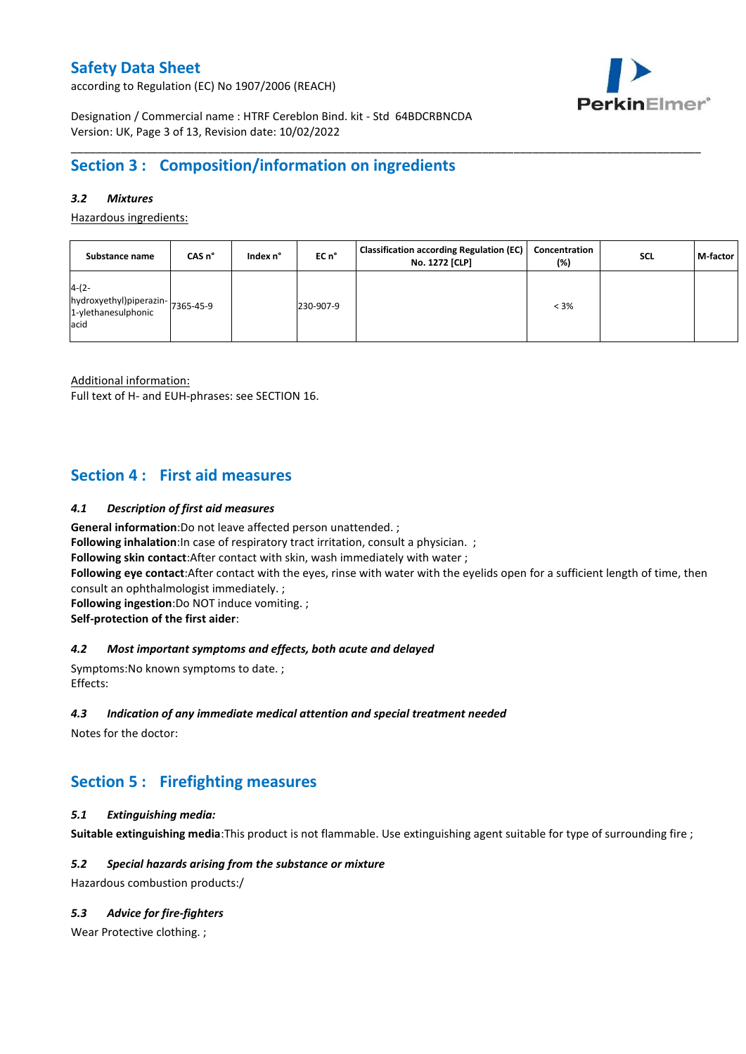according to Regulation (EC) No 1907/2006 (REACH)



Designation / Commercial name : HTRF Cereblon Bind. kit - Std 64BDCRBNCDA Version: UK, Page 3 of 13, Revision date: 10/02/2022

# **Section 3 : Composition/information on ingredients**

### *3.2 Mixtures*

Hazardous ingredients:

| Substance name                                                     | CAS n°    | Index n° | EC n°     | <b>Classification according Regulation (EC)</b><br>No. 1272 [CLP] | Concentration<br>(%) | SCL | M-factor |
|--------------------------------------------------------------------|-----------|----------|-----------|-------------------------------------------------------------------|----------------------|-----|----------|
| $4-(2-$<br>hydroxyethyl)piperazin-<br>1-ylethanesulphonic<br>lacid | 7365-45-9 |          | 230-907-9 |                                                                   | $< 3\%$              |     |          |

\_\_\_\_\_\_\_\_\_\_\_\_\_\_\_\_\_\_\_\_\_\_\_\_\_\_\_\_\_\_\_\_\_\_\_\_\_\_\_\_\_\_\_\_\_\_\_\_\_\_\_\_\_\_\_\_\_\_\_\_\_\_\_\_\_\_\_\_\_\_\_\_\_\_\_\_\_\_\_\_\_\_\_\_\_\_\_\_\_\_\_\_\_\_\_\_\_\_\_\_\_

Additional information:

Full text of H- and EUH-phrases: see SECTION 16.

### **Section 4 : First aid measures**

#### *4.1 Description of first aid measures*

**General information**:Do not leave affected person unattended. ;

**Following inhalation:**In case of respiratory tract irritation, consult a physician. ;

**Following skin contact**:After contact with skin, wash immediately with water ;

**Following eye contact**:After contact with the eyes, rinse with water with the eyelids open for a sufficient length of time, then consult an ophthalmologist immediately. ;

**Following ingestion**:Do NOT induce vomiting. ;

**Self-protection of the first aider**:

#### *4.2 Most important symptoms and effects, both acute and delayed*

Symptoms:No known symptoms to date. ; Effects:

#### *4.3 Indication of any immediate medical attention and special treatment needed*

Notes for the doctor:

# **Section 5 : Firefighting measures**

#### *5.1 Extinguishing media:*

**Suitable extinguishing media**:This product is not flammable. Use extinguishing agent suitable for type of surrounding fire ;

#### *5.2 Special hazards arising from the substance or mixture*

Hazardous combustion products:/

#### *5.3 Advice for fire-fighters*

Wear Protective clothing.;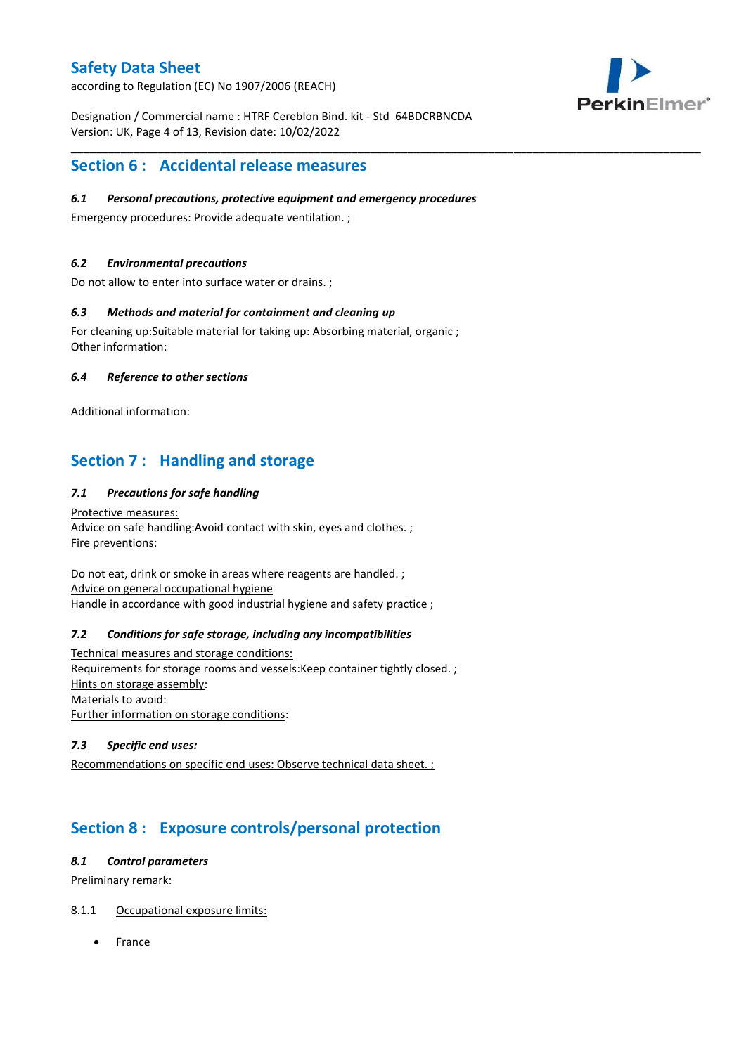according to Regulation (EC) No 1907/2006 (REACH)



Designation / Commercial name : HTRF Cereblon Bind. kit - Std 64BDCRBNCDA Version: UK, Page 4 of 13, Revision date: 10/02/2022

\_\_\_\_\_\_\_\_\_\_\_\_\_\_\_\_\_\_\_\_\_\_\_\_\_\_\_\_\_\_\_\_\_\_\_\_\_\_\_\_\_\_\_\_\_\_\_\_\_\_\_\_\_\_\_\_\_\_\_\_\_\_\_\_\_\_\_\_\_\_\_\_\_\_\_\_\_\_\_\_\_\_\_\_\_\_\_\_\_\_\_\_\_\_\_\_\_\_\_\_\_

### **Section 6 : Accidental release measures**

#### *6.1 Personal precautions, protective equipment and emergency procedures*

Emergency procedures: Provide adequate ventilation. ;

### *6.2 Environmental precautions*

Do not allow to enter into surface water or drains. ;

#### *6.3 Methods and material for containment and cleaning up*

For cleaning up:Suitable material for taking up: Absorbing material, organic ; Other information:

#### *6.4 Reference to other sections*

Additional information:

# **Section 7 : Handling and storage**

### *7.1 Precautions for safe handling*

Protective measures: Advice on safe handling:Avoid contact with skin, eyes and clothes. ; Fire preventions:

Do not eat, drink or smoke in areas where reagents are handled. ; Advice on general occupational hygiene Handle in accordance with good industrial hygiene and safety practice ;

#### *7.2 Conditions for safe storage, including any incompatibilities*

Technical measures and storage conditions: Requirements for storage rooms and vessels:Keep container tightly closed. ; Hints on storage assembly: Materials to avoid: Further information on storage conditions:

### *7.3 Specific end uses:*

Recommendations on specific end uses: Observe technical data sheet. ;

# **Section 8 : Exposure controls/personal protection**

#### *8.1 Control parameters*

Preliminary remark:

### 8.1.1 Occupational exposure limits:

France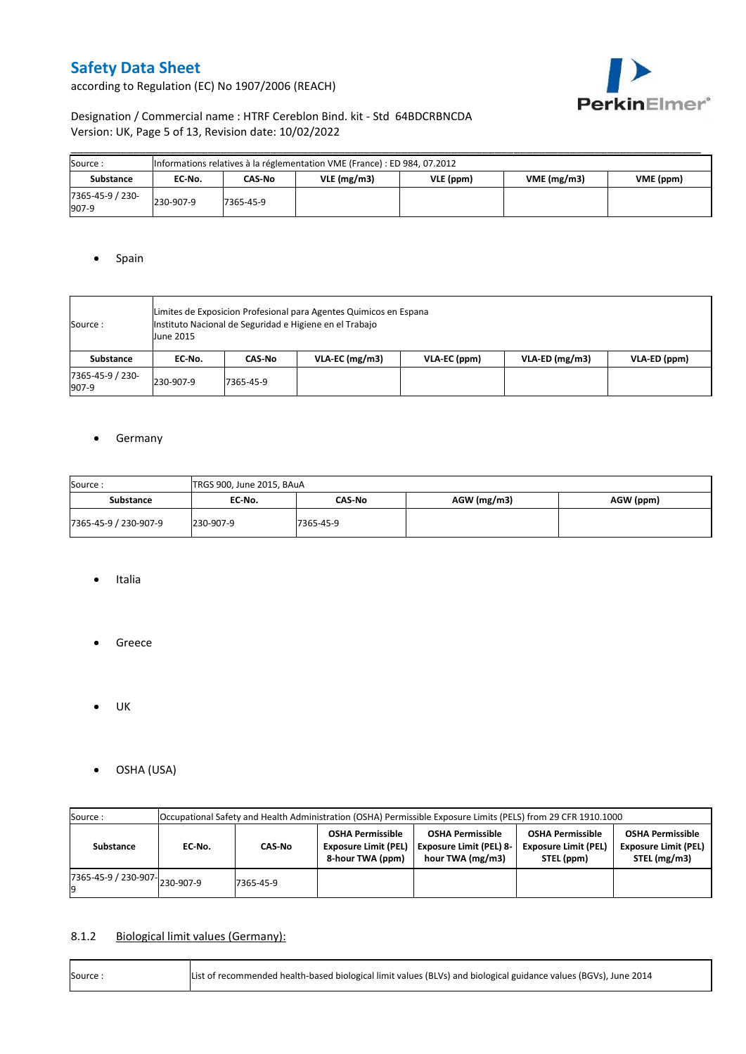according to Regulation (EC) No 1907/2006 (REACH)



### Designation / Commercial name : HTRF Cereblon Bind. kit - Std 64BDCRBNCDA Version: UK, Page 5 of 13, Revision date: 10/02/2022

| Source :                  | Informations relatives à la réglementation VME (France) : ED 984, 07.2012 |           |            |           |            |           |  |  |  |  |  |
|---------------------------|---------------------------------------------------------------------------|-----------|------------|-----------|------------|-----------|--|--|--|--|--|
| Substance                 | EC No.                                                                    | CAS-No    | VLE(mg/m3) | VLE (ppm) | VME(mg/m3) | VME (ppm) |  |  |  |  |  |
| 7365-45-9 / 230-<br>907-9 | 230-907-9                                                                 | 7365-45-9 |            |           |            |           |  |  |  |  |  |

### • Spain

| Source:                   | Limites de Exposicion Profesional para Agentes Quimicos en Espana<br>Instituto Nacional de Seguridad e Higiene en el Trabajo<br><b>June 2015</b> |           |                |              |                  |              |  |  |  |  |
|---------------------------|--------------------------------------------------------------------------------------------------------------------------------------------------|-----------|----------------|--------------|------------------|--------------|--|--|--|--|
| Substance                 | EC No.                                                                                                                                           | CAS-No    | VLA-EC (mg/m3) | VLA-EC (ppm) | $VLA-ED (mg/m3)$ | VLA-ED (ppm) |  |  |  |  |
| 7365-45-9 / 230-<br>907-9 | 230-907-9                                                                                                                                        | 7365-45-9 |                |              |                  |              |  |  |  |  |

### **•** Germany

| Source:               | TRGS 900, June 2015, BAuA |           |               |           |  |  |  |  |  |  |
|-----------------------|---------------------------|-----------|---------------|-----------|--|--|--|--|--|--|
| <b>Substance</b>      | EC No.                    | CAS-No    | $AGW$ (mg/m3) | AGW (ppm) |  |  |  |  |  |  |
| 7365-45-9 / 230-907-9 | 230-907-9                 | 7365-45-9 |               |           |  |  |  |  |  |  |

- Italia
- **•** Greece
- $\bullet$  UK
- OSHA (USA)

| Occupational Safety and Health Administration (OSHA) Permissible Exposure Limits (PELS) from 29 CFR 1910.1000<br>Source: |                  |           |                                                                            |                                                                               |                                                                      |                                                                        |  |  |  |
|--------------------------------------------------------------------------------------------------------------------------|------------------|-----------|----------------------------------------------------------------------------|-------------------------------------------------------------------------------|----------------------------------------------------------------------|------------------------------------------------------------------------|--|--|--|
| Substance                                                                                                                | CAS-No<br>EC No. |           | <b>OSHA Permissible</b><br><b>Exposure Limit (PEL)</b><br>8-hour TWA (ppm) | <b>OSHA Permissible</b><br><b>Exposure Limit (PEL) 8-</b><br>hour TWA (mg/m3) | <b>OSHA Permissible</b><br><b>Exposure Limit (PEL)</b><br>STEL (ppm) | <b>OSHA Permissible</b><br><b>Exposure Limit (PEL)</b><br>STEL (mg/m3) |  |  |  |
| $17365 - 45 - 9$ / 230-907-<br>230-907-9                                                                                 |                  | 7365-45-9 |                                                                            |                                                                               |                                                                      |                                                                        |  |  |  |

### 8.1.2 Biological limit values (Germany):

| Source: | List of recommended health-based biological limit values (BLVs) and biological guidance values (BGVs), June 2014 |
|---------|------------------------------------------------------------------------------------------------------------------|
|---------|------------------------------------------------------------------------------------------------------------------|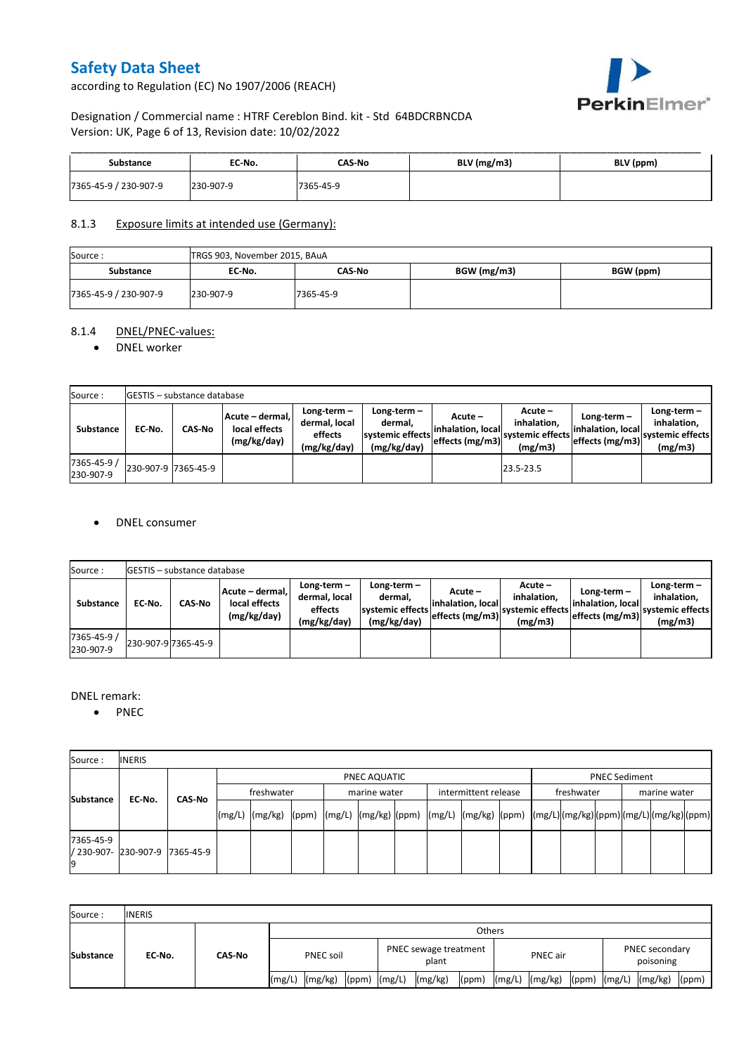according to Regulation (EC) No 1907/2006 (REACH)



### Designation / Commercial name : HTRF Cereblon Bind. kit - Std 64BDCRBNCDA Version: UK, Page 6 of 13, Revision date: 10/02/2022

| Substance             | EC No.    | CAS No    | $BLV$ (mg/m3) | BLV (ppm) |
|-----------------------|-----------|-----------|---------------|-----------|
| 7365-45-9 / 230-907-9 | 230-907-9 | 7365-45-9 |               |           |

### 8.1.3 Exposure limits at intended use (Germany):

| Source:               |           | TRGS 903, November 2015, BAuA |             |           |  |  |  |  |  |  |  |
|-----------------------|-----------|-------------------------------|-------------|-----------|--|--|--|--|--|--|--|
| <b>Substance</b>      | EC No.    | CAS-No                        | BGW (mg/m3) | BGW (ppm) |  |  |  |  |  |  |  |
| 7365-45-9 / 230-907-9 | 230-907-9 | 7365-45-9                     |             |           |  |  |  |  |  |  |  |

### 8.1.4 DNEL/PNEC-values:

#### • DNEL worker

| Source:                  |                     | GESTIS - substance database |                                                                                                          |  |                                                          |                                                  |                                                         |                                                        |                                                          |  |  |  |  |  |  |
|--------------------------|---------------------|-----------------------------|----------------------------------------------------------------------------------------------------------|--|----------------------------------------------------------|--------------------------------------------------|---------------------------------------------------------|--------------------------------------------------------|----------------------------------------------------------|--|--|--|--|--|--|
| Substance                | EC-No.              | <b>CAS-No</b>               | Long-term-<br>Acute - dermal,<br>dermal, local<br>local effects<br>effects<br>(mg/kg/day)<br>(mg/kg/day) |  | Long-term-<br>dermal.<br>systemic effects<br>(mg/kg/day) | Acute –<br>linhalation. local<br>effects (mg/m3) | $Acute -$<br>inhalation.<br>systemic effects<br>(mg/m3) | $Long-term -$<br>linhalation. local<br>effects (mg/m3) | Long-term-<br>inhalation.<br>systemic effects<br>(mg/m3) |  |  |  |  |  |  |
| 7365-45-9 /<br>230-907-9 | 230-907-9 7365-45-9 |                             |                                                                                                          |  |                                                          |                                                  | 23.5-23.5                                               |                                                        |                                                          |  |  |  |  |  |  |

#### DNEL consumer

| Source:                  |                     | <b>IGESTIS - substance database</b> |                                                 |                                                          |                                                          |                                                  |                                                         |                                                      |                                                             |  |  |  |  |  |
|--------------------------|---------------------|-------------------------------------|-------------------------------------------------|----------------------------------------------------------|----------------------------------------------------------|--------------------------------------------------|---------------------------------------------------------|------------------------------------------------------|-------------------------------------------------------------|--|--|--|--|--|
| <b>Substance</b>         | EC No.              | CAS-No                              | Acute - dermal,<br>local effects<br>(mg/kg/day) | Long-term $-$<br>dermal, local<br>effects<br>(mg/kg/day) | Long-term-<br>dermal.<br>systemic effects<br>(mg/kg/day) | Acute –<br>linhalation. local<br>effects (mg/m3) | $Acute -$<br>inhalation.<br>systemic effects<br>(mg/m3) | Long-term -<br>linhalation. local<br>effects (mg/m3) | $Long-term -$<br>inhalation.<br>systemic effects<br>(mg/m3) |  |  |  |  |  |
| 7365-45-9 /<br>230-907-9 | 230-907-9 7365-45-9 |                                     |                                                 |                                                          |                                                          |                                                  |                                                         |                                                      |                                                             |  |  |  |  |  |

#### DNEL remark:

• PNEC

| Source:         | <b>INERIS</b>                  |        |            |              |  |  |              |  |                      |  |            |  |                      |  |  |  |  |
|-----------------|--------------------------------|--------|------------|--------------|--|--|--------------|--|----------------------|--|------------|--|----------------------|--|--|--|--|
| Substance       |                                |        |            | PNEC AQUATIC |  |  |              |  |                      |  |            |  | <b>PNEC Sediment</b> |  |  |  |  |
|                 | EC No.                         | CAS-No | freshwater |              |  |  | marine water |  | intermittent release |  | freshwater |  | marine water         |  |  |  |  |
|                 |                                |        |            |              |  |  |              |  |                      |  |            |  |                      |  |  |  |  |
| 7365-45-9<br>19 | / 230-907- 230-907-9 7365-45-9 |        |            |              |  |  |              |  |                      |  |            |  |                      |  |  |  |  |

| Source:          | <b>INERIS</b> |        |                  |         |                  |                                |         |       |          |                    |  |                             |                            |
|------------------|---------------|--------|------------------|---------|------------------|--------------------------------|---------|-------|----------|--------------------|--|-----------------------------|----------------------------|
| <b>Substance</b> | EC No.        | CAS-No | <b>Others</b>    |         |                  |                                |         |       |          |                    |  |                             |                            |
|                  |               |        | <b>PNEC soil</b> |         |                  | PNEC sewage treatment<br>plant |         |       | PNEC air |                    |  | PNEC secondary<br>poisoning |                            |
|                  |               |        | (mg/L)           | (mg/kg) | $(ppm)$ $(mg/L)$ |                                | (mg/kg) | (ppm) |          | $(mg/L)$ $(mg/kg)$ |  |                             | $(ppm)$ $(mg/L)$ $(mg/kg)$ |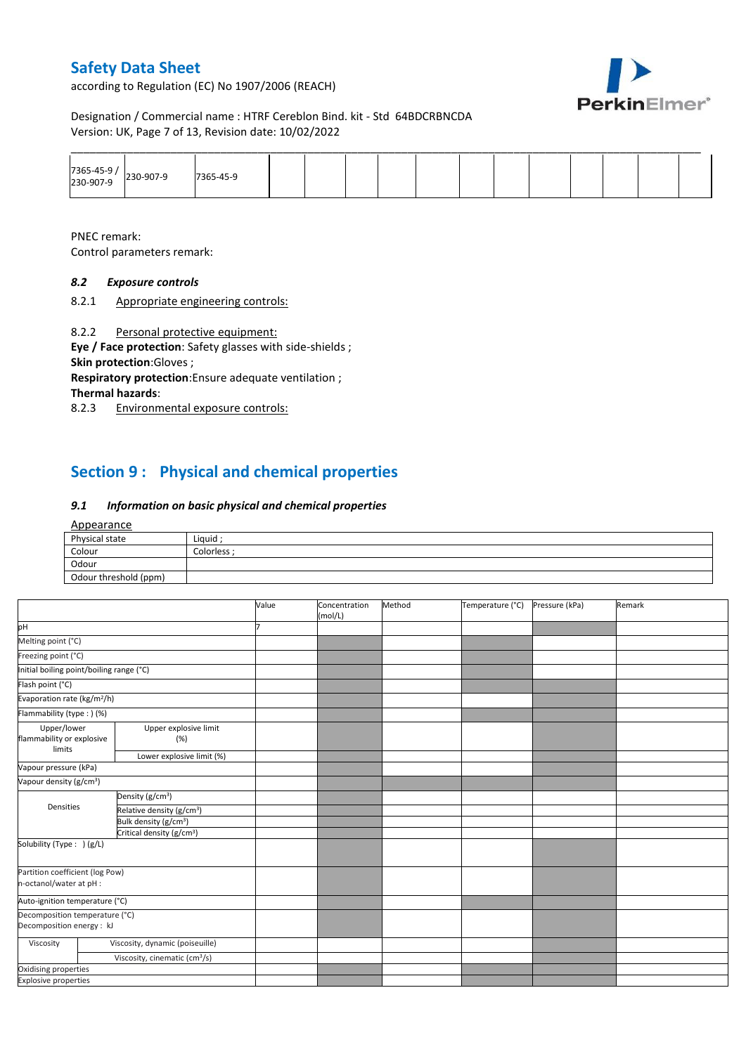according to Regulation (EC) No 1907/2006 (REACH)



Designation / Commercial name : HTRF Cereblon Bind. kit - Std 64BDCRBNCDA Version: UK, Page 7 of 13, Revision date: 10/02/2022

|                          |           |           |  |  |  |  |  | _______ |  |
|--------------------------|-----------|-----------|--|--|--|--|--|---------|--|
| 7365-45-9 /<br>230-907-9 | 230-907-9 | 7365-45-9 |  |  |  |  |  |         |  |

PNEC remark:

Control parameters remark:

### *8.2 Exposure controls*

8.2.1 Appropriate engineering controls:

8.2.2 Personal protective equipment:

**Eye / Face protection**: Safety glasses with side-shields ; **Skin protection**:Gloves ;

**Respiratory protection**:Ensure adequate ventilation ; **Thermal hazards**:

8.2.3 Environmental exposure controls:

# **Section 9 : Physical and chemical properties**

#### *9.1 Information on basic physical and chemical properties*

#### Appearance

| Physical state        | Liquid    |
|-----------------------|-----------|
| Colour                | Colorless |
| Odour                 |           |
| Odour threshold (ppm) |           |

|                                                             |                                           | Value | Concentration<br>(mol/L) | Method | Temperature (°C) | Pressure (kPa) | Remark |
|-------------------------------------------------------------|-------------------------------------------|-------|--------------------------|--------|------------------|----------------|--------|
| pH                                                          |                                           |       |                          |        |                  |                |        |
| Melting point (°C)                                          |                                           |       |                          |        |                  |                |        |
| Freezing point (°C)                                         |                                           |       |                          |        |                  |                |        |
| Initial boiling point/boiling range (°C)                    |                                           |       |                          |        |                  |                |        |
| Flash point (°C)                                            |                                           |       |                          |        |                  |                |        |
| Evaporation rate (kg/m <sup>2</sup> /h)                     |                                           |       |                          |        |                  |                |        |
| Flammability (type:) (%)                                    |                                           |       |                          |        |                  |                |        |
| Upper/lower<br>flammability or explosive<br>limits          | Upper explosive limit<br>(%)              |       |                          |        |                  |                |        |
|                                                             | Lower explosive limit (%)                 |       |                          |        |                  |                |        |
| Vapour pressure (kPa)                                       |                                           |       |                          |        |                  |                |        |
| Vapour density (g/cm <sup>3</sup> )                         |                                           |       |                          |        |                  |                |        |
|                                                             | Density (g/cm <sup>3</sup> )              |       |                          |        |                  |                |        |
| Densities                                                   | Relative density (g/cm <sup>3</sup> )     |       |                          |        |                  |                |        |
|                                                             | Bulk density (g/cm <sup>3</sup> )         |       |                          |        |                  |                |        |
|                                                             | Critical density (g/cm <sup>3</sup> )     |       |                          |        |                  |                |        |
| Solubility (Type: ) (g/L)                                   |                                           |       |                          |        |                  |                |        |
| Partition coefficient (log Pow)<br>n-octanol/water at pH :  |                                           |       |                          |        |                  |                |        |
| Auto-ignition temperature (°C)                              |                                           |       |                          |        |                  |                |        |
| Decomposition temperature (°C)<br>Decomposition energy : kJ |                                           |       |                          |        |                  |                |        |
| Viscosity                                                   | Viscosity, dynamic (poiseuille)           |       |                          |        |                  |                |        |
|                                                             | Viscosity, cinematic (cm <sup>3</sup> /s) |       |                          |        |                  |                |        |
| Oxidising properties                                        |                                           |       |                          |        |                  |                |        |
| <b>Explosive properties</b>                                 |                                           |       |                          |        |                  |                |        |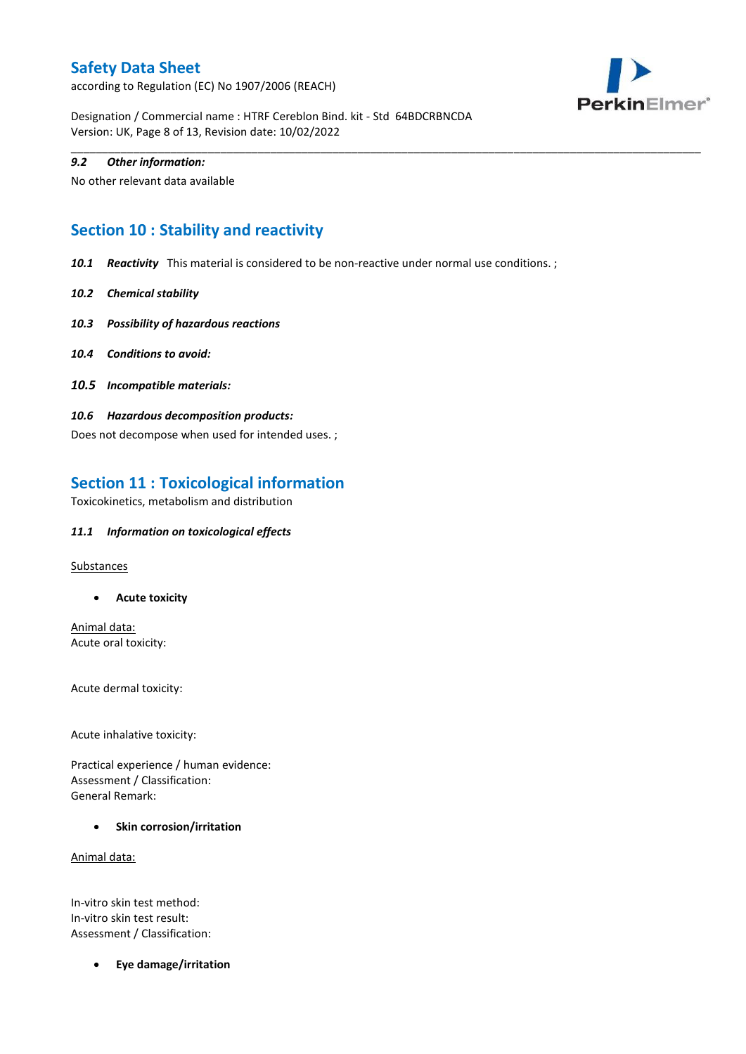according to Regulation (EC) No 1907/2006 (REACH)



Designation / Commercial name : HTRF Cereblon Bind. kit - Std 64BDCRBNCDA Version: UK, Page 8 of 13, Revision date: 10/02/2022

#### *9.2 Other information:*

No other relevant data available

# **Section 10 : Stability and reactivity**

*10.1 Reactivity* This material is considered to be non-reactive under normal use conditions. ;

\_\_\_\_\_\_\_\_\_\_\_\_\_\_\_\_\_\_\_\_\_\_\_\_\_\_\_\_\_\_\_\_\_\_\_\_\_\_\_\_\_\_\_\_\_\_\_\_\_\_\_\_\_\_\_\_\_\_\_\_\_\_\_\_\_\_\_\_\_\_\_\_\_\_\_\_\_\_\_\_\_\_\_\_\_\_\_\_\_\_\_\_\_\_\_\_\_\_\_\_\_

- *10.2 Chemical stability*
- *10.3 Possibility of hazardous reactions*
- *10.4 Conditions to avoid:*
- *10.5 Incompatible materials:*
- *10.6 Hazardous decomposition products:*

Does not decompose when used for intended uses. ;

### **Section 11 : Toxicological information**

Toxicokinetics, metabolism and distribution

#### *11.1 Information on toxicological effects*

**Substances** 

**Acute toxicity**

Animal data: Acute oral toxicity:

Acute dermal toxicity:

Acute inhalative toxicity:

Practical experience / human evidence: Assessment / Classification: General Remark:

**•** Skin corrosion/irritation

Animal data:

In-vitro skin test method: In-vitro skin test result: Assessment / Classification:

**Eye damage/irritation**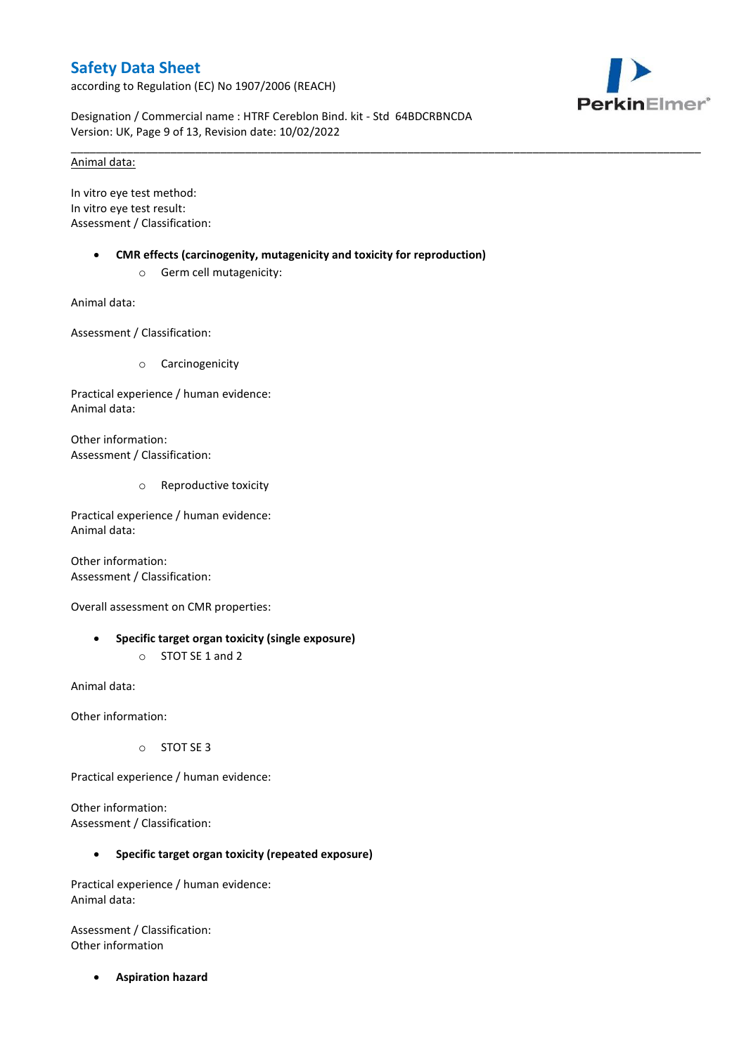according to Regulation (EC) No 1907/2006 (REACH)



Designation / Commercial name : HTRF Cereblon Bind. kit - Std 64BDCRBNCDA Version: UK, Page 9 of 13, Revision date: 10/02/2022

\_\_\_\_\_\_\_\_\_\_\_\_\_\_\_\_\_\_\_\_\_\_\_\_\_\_\_\_\_\_\_\_\_\_\_\_\_\_\_\_\_\_\_\_\_\_\_\_\_\_\_\_\_\_\_\_\_\_\_\_\_\_\_\_\_\_\_\_\_\_\_\_\_\_\_\_\_\_\_\_\_\_\_\_\_\_\_\_\_\_\_\_\_\_\_\_\_\_\_\_\_

#### Animal data:

In vitro eye test method: In vitro eye test result: Assessment / Classification:

- **CMR effects (carcinogenity, mutagenicity and toxicity for reproduction)**
	- o Germ cell mutagenicity:

Animal data:

Assessment / Classification:

o Carcinogenicity

Practical experience / human evidence: Animal data:

Other information: Assessment / Classification:

o Reproductive toxicity

Practical experience / human evidence: Animal data:

Other information: Assessment / Classification:

Overall assessment on CMR properties:

 **Specific target organ toxicity (single exposure)** o STOT SE 1 and 2

Animal data:

Other information:

o STOT SE 3

Practical experience / human evidence:

Other information: Assessment / Classification:

#### **Specific target organ toxicity (repeated exposure)**

Practical experience / human evidence: Animal data:

Assessment / Classification: Other information

**Aspiration hazard**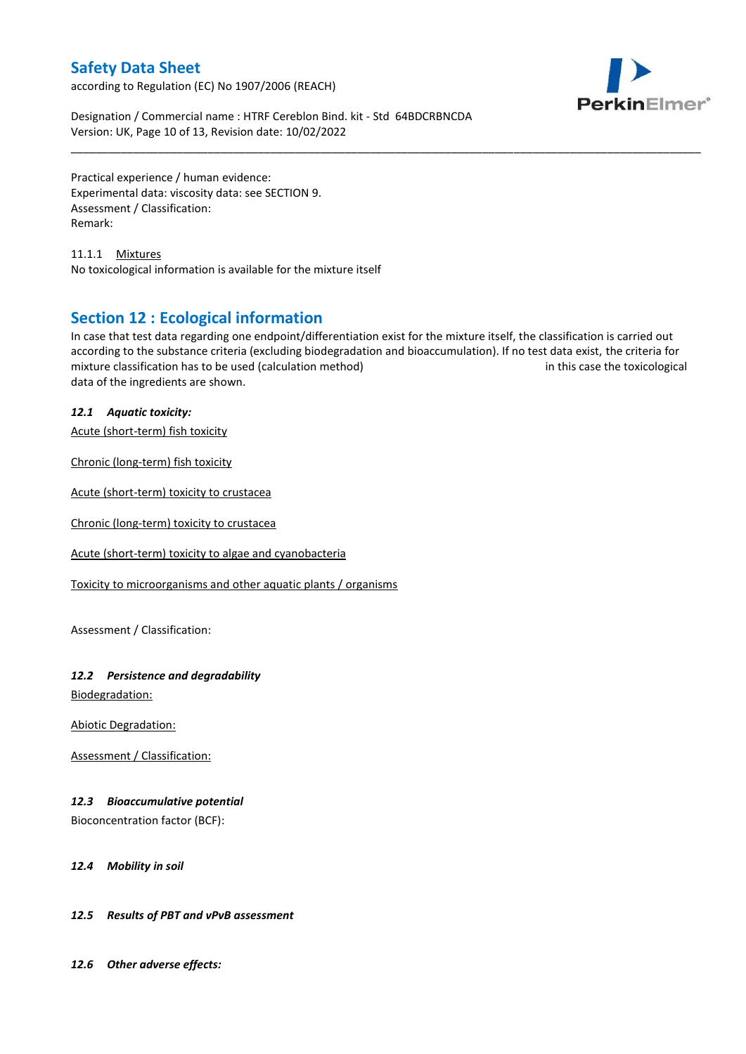according to Regulation (EC) No 1907/2006 (REACH)



Designation / Commercial name : HTRF Cereblon Bind. kit - Std 64BDCRBNCDA Version: UK, Page 10 of 13, Revision date: 10/02/2022

Practical experience / human evidence: Experimental data: viscosity data: see SECTION 9. Assessment / Classification: Remark:

11.1.1 Mixtures No toxicological information is available for the mixture itself

### **Section 12 : Ecological information**

In case that test data regarding one endpoint/differentiation exist for the mixture itself, the classification is carried out according to the substance criteria (excluding biodegradation and bioaccumulation). If no test data exist, the criteria for mixture classification has to be used (calculation method) in this case the toxicological data of the ingredients are shown.

\_\_\_\_\_\_\_\_\_\_\_\_\_\_\_\_\_\_\_\_\_\_\_\_\_\_\_\_\_\_\_\_\_\_\_\_\_\_\_\_\_\_\_\_\_\_\_\_\_\_\_\_\_\_\_\_\_\_\_\_\_\_\_\_\_\_\_\_\_\_\_\_\_\_\_\_\_\_\_\_\_\_\_\_\_\_\_\_\_\_\_\_\_\_\_\_\_\_\_\_\_

### *12.1 Aquatic toxicity:*

Acute (short-term) fish toxicity

Chronic (long-term) fish toxicity

Acute (short-term) toxicity to crustacea

Chronic (long-term) toxicity to crustacea

Acute (short-term) toxicity to algae and cyanobacteria

Toxicity to microorganisms and other aquatic plants / organisms

Assessment / Classification:

### *12.2 Persistence and degradability*

Biodegradation:

Abiotic Degradation:

Assessment / Classification:

### *12.3 Bioaccumulative potential*

Bioconcentration factor (BCF):

#### *12.4 Mobility in soil*

### *12.5 Results of PBT and vPvB assessment*

*12.6 Other adverse effects:*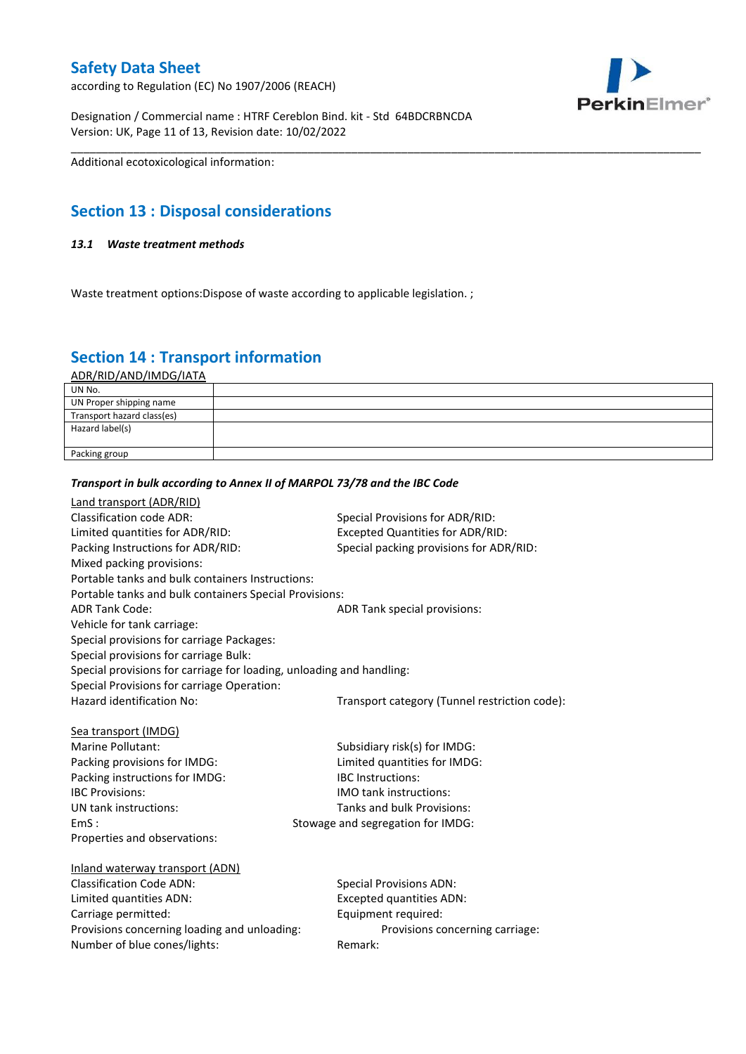according to Regulation (EC) No 1907/2006 (REACH)



Designation / Commercial name : HTRF Cereblon Bind. kit - Std 64BDCRBNCDA Version: UK, Page 11 of 13, Revision date: 10/02/2022

Additional ecotoxicological information:

# **Section 13 : Disposal considerations**

#### *13.1 Waste treatment methods*

Waste treatment options: Dispose of waste according to applicable legislation.;

# **Section 14 : Transport information**

ADR/RID/AND/IMDG/IATA

| UN No.                     |  |
|----------------------------|--|
| UN Proper shipping name    |  |
| Transport hazard class(es) |  |
| Hazard label(s)            |  |
|                            |  |
| Packing group              |  |

\_\_\_\_\_\_\_\_\_\_\_\_\_\_\_\_\_\_\_\_\_\_\_\_\_\_\_\_\_\_\_\_\_\_\_\_\_\_\_\_\_\_\_\_\_\_\_\_\_\_\_\_\_\_\_\_\_\_\_\_\_\_\_\_\_\_\_\_\_\_\_\_\_\_\_\_\_\_\_\_\_\_\_\_\_\_\_\_\_\_\_\_\_\_\_\_\_\_\_\_\_

#### *Transport in bulk according to Annex II of MARPOL 73/78 and the IBC Code*

| Land transport (ADR/RID)                                             |                                               |
|----------------------------------------------------------------------|-----------------------------------------------|
| <b>Classification code ADR:</b>                                      | Special Provisions for ADR/RID:               |
| Limited quantities for ADR/RID:                                      | Excepted Quantities for ADR/RID:              |
| Packing Instructions for ADR/RID:                                    | Special packing provisions for ADR/RID:       |
| Mixed packing provisions:                                            |                                               |
| Portable tanks and bulk containers Instructions:                     |                                               |
| Portable tanks and bulk containers Special Provisions:               |                                               |
| <b>ADR Tank Code:</b>                                                | ADR Tank special provisions:                  |
| Vehicle for tank carriage:                                           |                                               |
| Special provisions for carriage Packages:                            |                                               |
| Special provisions for carriage Bulk:                                |                                               |
| Special provisions for carriage for loading, unloading and handling: |                                               |
| Special Provisions for carriage Operation:                           |                                               |
| Hazard identification No:                                            | Transport category (Tunnel restriction code): |
|                                                                      |                                               |
| Sea transport (IMDG)                                                 |                                               |
| Marine Pollutant:                                                    | Subsidiary risk(s) for IMDG:                  |
| Packing provisions for IMDG:                                         | Limited quantities for IMDG:                  |
| Packing instructions for IMDG:                                       | <b>IBC</b> Instructions:                      |
| <b>IBC Provisions:</b>                                               | <b>IMO</b> tank instructions:                 |
| UN tank instructions:                                                | Tanks and bulk Provisions:                    |
| EmS:                                                                 | Stowage and segregation for IMDG:             |
| Properties and observations:                                         |                                               |
|                                                                      |                                               |
| Inland waterway transport (ADN)                                      |                                               |
| <b>Classification Code ADN:</b>                                      | <b>Special Provisions ADN:</b>                |
| Limited quantities ADN:                                              | <b>Excepted quantities ADN:</b>               |
| Carriage permitted:                                                  | Equipment required:                           |
| Provisions concerning loading and unloading:                         | Provisions concerning carriage:               |
| Number of blue cones/lights:                                         | Remark:                                       |
|                                                                      |                                               |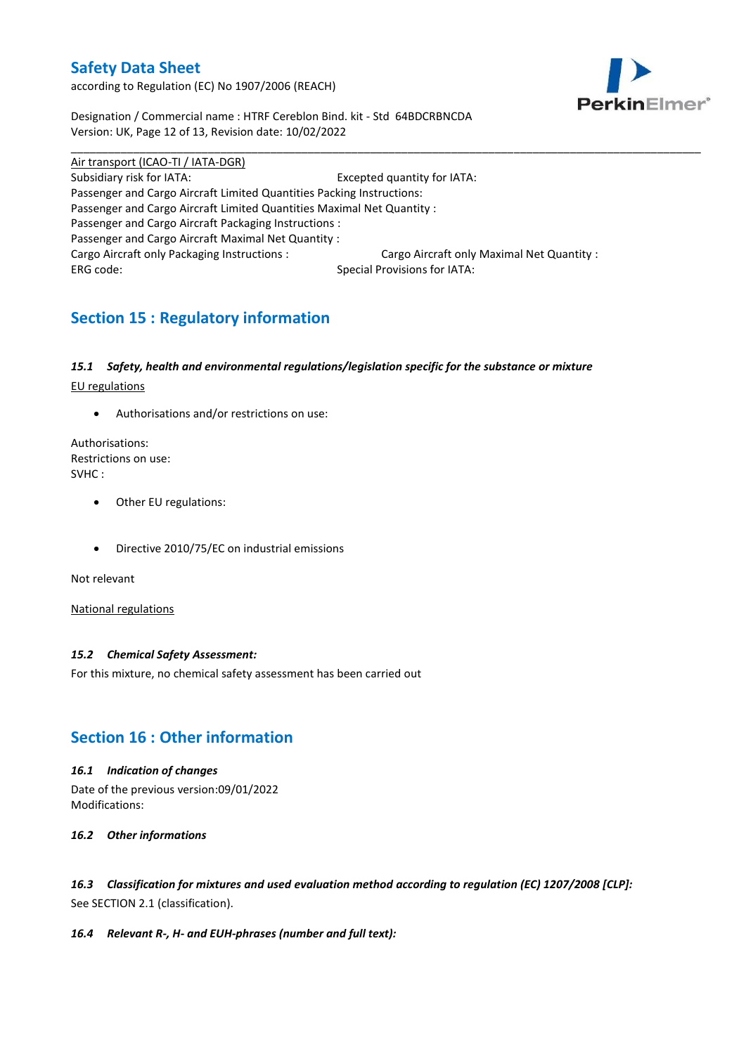according to Regulation (EC) No 1907/2006 (REACH)



Designation / Commercial name : HTRF Cereblon Bind. kit - Std 64BDCRBNCDA Version: UK, Page 12 of 13, Revision date: 10/02/2022

Air transport (ICAO-TI / IATA-DGR) Subsidiary risk for IATA: Excepted quantity for IATA: Passenger and Cargo Aircraft Limited Quantities Packing Instructions: Passenger and Cargo Aircraft Limited Quantities Maximal Net Quantity : Passenger and Cargo Aircraft Packaging Instructions : Passenger and Cargo Aircraft Maximal Net Quantity : Cargo Aircraft only Packaging Instructions : Cargo Aircraft only Maximal Net Quantity : ERG code: Special Provisions for IATA:

\_\_\_\_\_\_\_\_\_\_\_\_\_\_\_\_\_\_\_\_\_\_\_\_\_\_\_\_\_\_\_\_\_\_\_\_\_\_\_\_\_\_\_\_\_\_\_\_\_\_\_\_\_\_\_\_\_\_\_\_\_\_\_\_\_\_\_\_\_\_\_\_\_\_\_\_\_\_\_\_\_\_\_\_\_\_\_\_\_\_\_\_\_\_\_\_\_\_\_\_\_

# **Section 15 : Regulatory information**

#### *15.1 Safety, health and environmental regulations/legislation specific for the substance or mixture*

EU regulations

Authorisations and/or restrictions on use:

Authorisations: Restrictions on use: SVHC :

- Other EU regulations:
- Directive 2010/75/EC on industrial emissions

Not relevant

National regulations

#### *15.2 Chemical Safety Assessment:*

For this mixture, no chemical safety assessment has been carried out

# **Section 16 : Other information**

#### *16.1 Indication of changes*

Date of the previous version:09/01/2022 Modifications:

#### *16.2 Other informations*

*16.3 Classification for mixtures and used evaluation method according to regulation (EC) 1207/2008 [CLP]:* See SECTION 2.1 (classification).

#### *16.4 Relevant R-, H- and EUH-phrases (number and full text):*